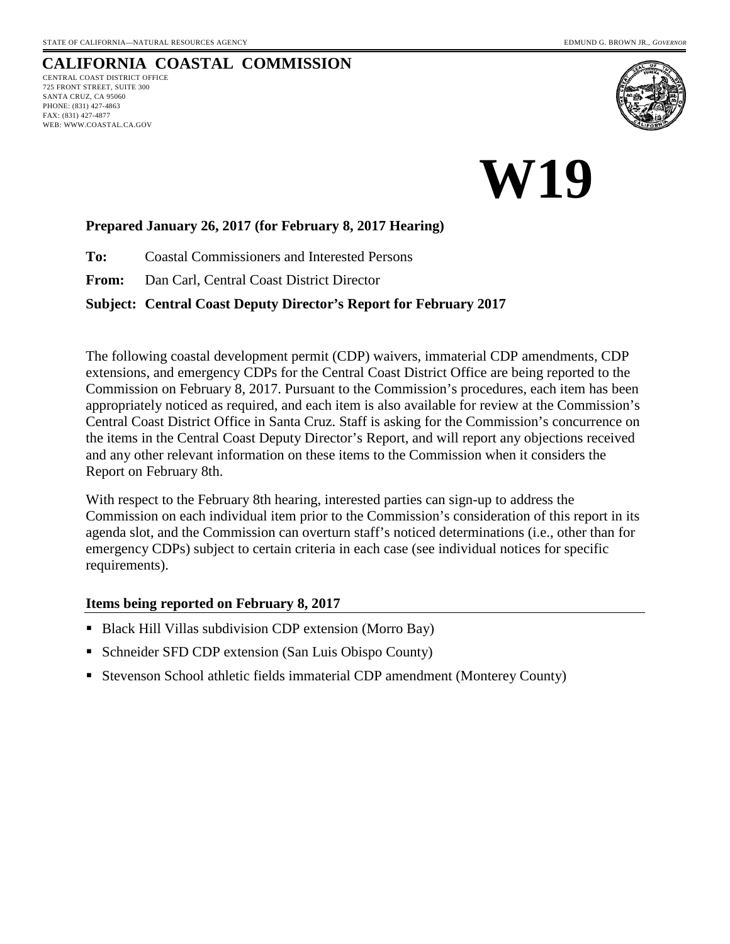WEB: WWW.COASTAL.CA.GOV

#### **CALIFORNIA COASTAL COMMISSION** CENTRAL COAST DISTRICT OFFICE 725 FRONT STREET, SUITE 300 SANTA CRUZ, CA 95060 PHONE: (831) 427-4863 FAX: (831) 427-4877



# **W19**

### **Prepared January 26, 2017 (for February 8, 2017 Hearing)**

**To:** Coastal Commissioners and Interested Persons

**From:** Dan Carl, Central Coast District Director

### **Subject: Central Coast Deputy Director's Report for February 2017**

The following coastal development permit (CDP) waivers, immaterial CDP amendments, CDP extensions, and emergency CDPs for the Central Coast District Office are being reported to the Commission on February 8, 2017. Pursuant to the Commission's procedures, each item has been appropriately noticed as required, and each item is also available for review at the Commission's Central Coast District Office in Santa Cruz. Staff is asking for the Commission's concurrence on the items in the Central Coast Deputy Director's Report, and will report any objections received and any other relevant information on these items to the Commission when it considers the Report on February 8th.

With respect to the February 8th hearing, interested parties can sign-up to address the Commission on each individual item prior to the Commission's consideration of this report in its agenda slot, and the Commission can overturn staff's noticed determinations (i.e., other than for emergency CDPs) subject to certain criteria in each case (see individual notices for specific requirements).

### **Items being reported on February 8, 2017**

- Black Hill Villas subdivision CDP extension (Morro Bay)
- Schneider SFD CDP extension (San Luis Obispo County)
- **Stevenson School athletic fields immaterial CDP amendment (Monterey County)**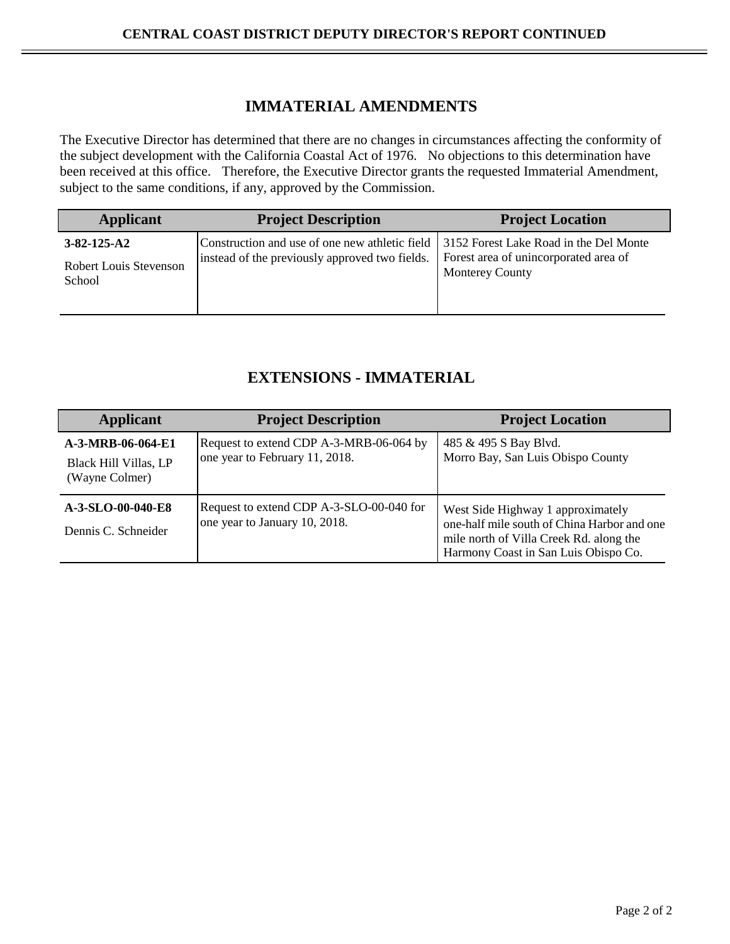### **IMMATERIAL AMENDMENTS**

The Executive Director has determined that there are no changes in circumstances affecting the conformity of the subject development with the California Coastal Act of 1976. No objections to this determination have been received at this office. Therefore, the Executive Director grants the requested Immaterial Amendment, subject to the same conditions, if any, approved by the Commission.

| <b>Applicant</b>                                        | <b>Project Description</b>                                                                                                                | <b>Project Location</b>                                         |
|---------------------------------------------------------|-------------------------------------------------------------------------------------------------------------------------------------------|-----------------------------------------------------------------|
| $3 - 82 - 125 - A2$<br>Robert Louis Stevenson<br>School | Construction and use of one new athletic field   3152 Forest Lake Road in the Del Monte<br>instead of the previously approved two fields. | Forest area of unincorporated area of<br><b>Monterey County</b> |

### **EXTENSIONS - IMMATERIAL**

| <b>Applicant</b>                                                    | <b>Project Description</b>                                                | <b>Project Location</b>                                                                                                                                             |
|---------------------------------------------------------------------|---------------------------------------------------------------------------|---------------------------------------------------------------------------------------------------------------------------------------------------------------------|
| A-3-MRB-06-064-E1<br><b>Black Hill Villas, LP</b><br>(Wayne Colmer) | Request to extend CDP A-3-MRB-06-064 by<br>one year to February 11, 2018. | 485 & 495 S Bay Blvd.<br>Morro Bay, San Luis Obispo County                                                                                                          |
| A-3-SLO-00-040-E8<br>Dennis C. Schneider                            | Request to extend CDP A-3-SLO-00-040 for<br>one year to January 10, 2018. | West Side Highway 1 approximately<br>one-half mile south of China Harbor and one<br>mile north of Villa Creek Rd. along the<br>Harmony Coast in San Luis Obispo Co. |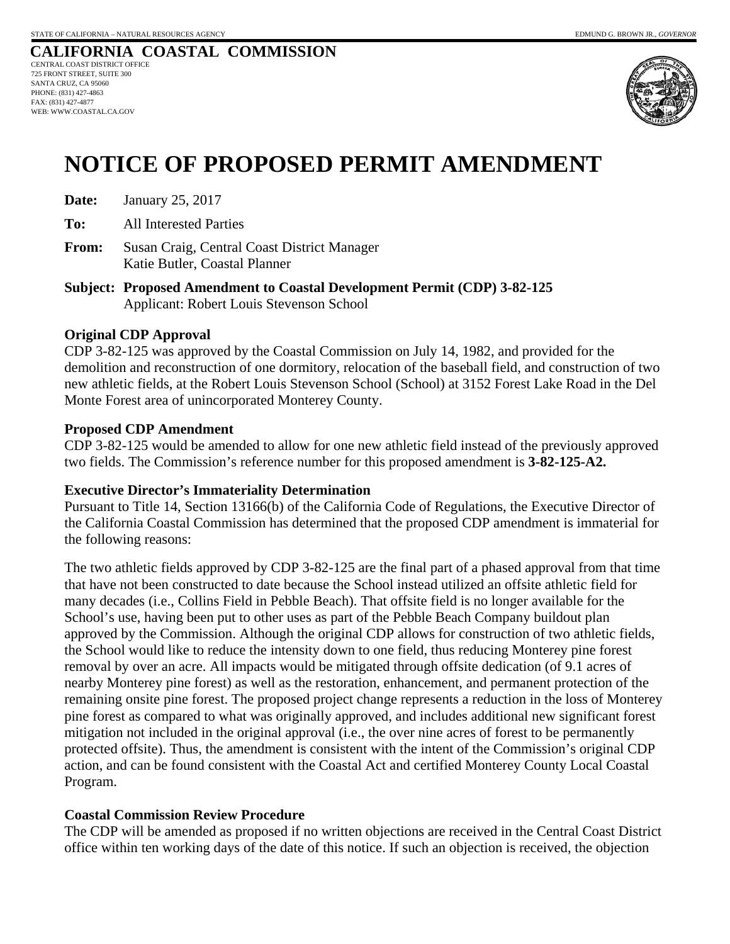#### **CALIFORNIA COASTAL COMMISSION** CENTRAL COAST DISTRICT OFFICE 725 FRONT STREET, SUITE 300 SANTA CRUZ, CA 95060 PHONE: (831) 427-4863 FAX: (831) 427-4877 WEB: WWW.COASTAL.CA.GOV



### **NOTICE OF PROPOSED PERMIT AMENDMENT**

**Date:** January 25, 2017

**To:** All Interested Parties

**From:** Susan Craig, Central Coast District Manager Katie Butler, Coastal Planner

**Subject: Proposed Amendment to Coastal Development Permit (CDP) 3-82-125**  Applicant: Robert Louis Stevenson School

### **Original CDP Approval**

CDP 3-82-125 was approved by the Coastal Commission on July 14, 1982, and provided for the demolition and reconstruction of one dormitory, relocation of the baseball field, and construction of two new athletic fields, at the Robert Louis Stevenson School (School) at 3152 Forest Lake Road in the Del Monte Forest area of unincorporated Monterey County.

### **Proposed CDP Amendment**

CDP 3-82-125 would be amended to allow for one new athletic field instead of the previously approved two fields. The Commission's reference number for this proposed amendment is **3-82-125-A2.**

### **Executive Director's Immateriality Determination**

Pursuant to Title 14, Section 13166(b) of the California Code of Regulations, the Executive Director of the California Coastal Commission has determined that the proposed CDP amendment is immaterial for the following reasons:

The two athletic fields approved by CDP 3-82-125 are the final part of a phased approval from that time that have not been constructed to date because the School instead utilized an offsite athletic field for many decades (i.e., Collins Field in Pebble Beach). That offsite field is no longer available for the School's use, having been put to other uses as part of the Pebble Beach Company buildout plan approved by the Commission. Although the original CDP allows for construction of two athletic fields, the School would like to reduce the intensity down to one field, thus reducing Monterey pine forest removal by over an acre. All impacts would be mitigated through offsite dedication (of 9.1 acres of nearby Monterey pine forest) as well as the restoration, enhancement, and permanent protection of the remaining onsite pine forest. The proposed project change represents a reduction in the loss of Monterey pine forest as compared to what was originally approved, and includes additional new significant forest mitigation not included in the original approval (i.e., the over nine acres of forest to be permanently protected offsite). Thus, the amendment is consistent with the intent of the Commission's original CDP action, and can be found consistent with the Coastal Act and certified Monterey County Local Coastal Program.

### **Coastal Commission Review Procedure**

The CDP will be amended as proposed if no written objections are received in the Central Coast District office within ten working days of the date of this notice. If such an objection is received, the objection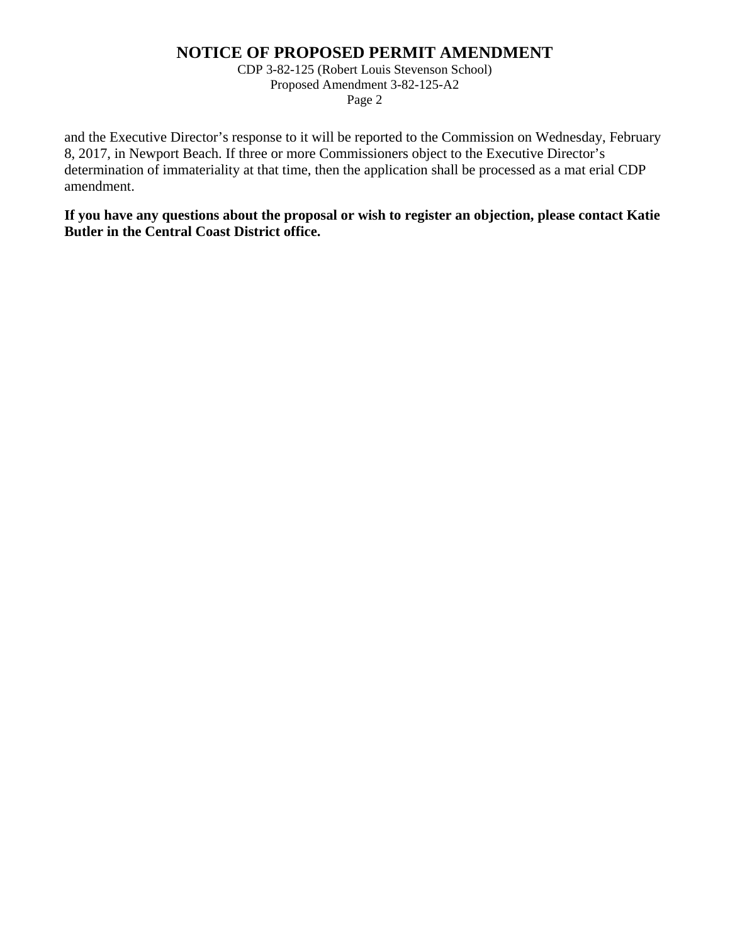### **NOTICE OF PROPOSED PERMIT AMENDMENT**

CDP 3-82-125 (Robert Louis Stevenson School) Proposed Amendment 3-82-125-A2 Page 2

and the Executive Director's response to it will be reported to the Commission on Wednesday, February 8, 2017, in Newport Beach. If three or more Commissioners object to the Executive Director's determination of immateriality at that time, then the application shall be processed as a mat erial CDP amendment.

**If you have any questions about the proposal or wish to register an objection, please contact Katie Butler in the Central Coast District office.**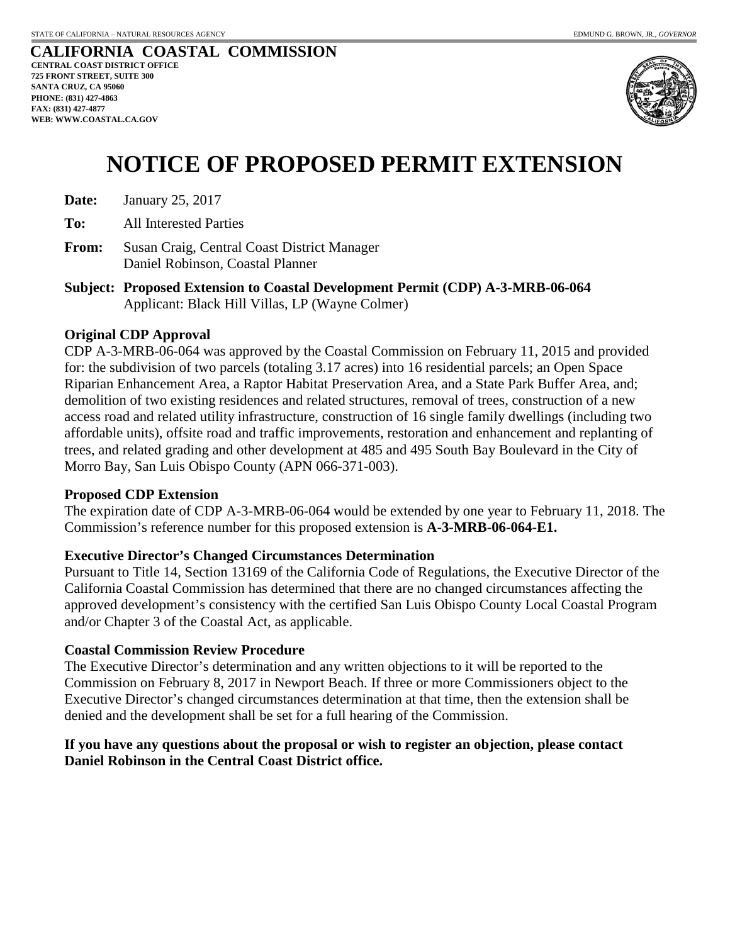

# **NOTICE OF PROPOSED PERMIT EXTENSION**

| Date: | January 25, 2017 |  |
|-------|------------------|--|
|-------|------------------|--|

**To:** All Interested Parties

- **From:** Susan Craig, Central Coast District Manager Daniel Robinson, Coastal Planner
- **Subject: Proposed Extension to Coastal Development Permit (CDP) A-3-MRB-06-064**  Applicant: Black Hill Villas, LP (Wayne Colmer)

### **Original CDP Approval**

CDP A-3-MRB-06-064 was approved by the Coastal Commission on February 11, 2015 and provided for: the subdivision of two parcels (totaling 3.17 acres) into 16 residential parcels; an Open Space Riparian Enhancement Area, a Raptor Habitat Preservation Area, and a State Park Buffer Area, and; demolition of two existing residences and related structures, removal of trees, construction of a new access road and related utility infrastructure, construction of 16 single family dwellings (including two affordable units), offsite road and traffic improvements, restoration and enhancement and replanting of trees, and related grading and other development at 485 and 495 South Bay Boulevard in the City of Morro Bay, San Luis Obispo County (APN 066-371-003).

### **Proposed CDP Extension**

The expiration date of CDP A-3-MRB-06-064 would be extended by one year to February 11, 2018. The Commission's reference number for this proposed extension is **A-3-MRB-06-064-E1.**

### **Executive Director's Changed Circumstances Determination**

Pursuant to Title 14, Section 13169 of the California Code of Regulations, the Executive Director of the California Coastal Commission has determined that there are no changed circumstances affecting the approved development's consistency with the certified San Luis Obispo County Local Coastal Program and/or Chapter 3 of the Coastal Act, as applicable.

### **Coastal Commission Review Procedure**

The Executive Director's determination and any written objections to it will be reported to the Commission on February 8, 2017 in Newport Beach. If three or more Commissioners object to the Executive Director's changed circumstances determination at that time, then the extension shall be denied and the development shall be set for a full hearing of the Commission.

### **If you have any questions about the proposal or wish to register an objection, please contact Daniel Robinson in the Central Coast District office.**